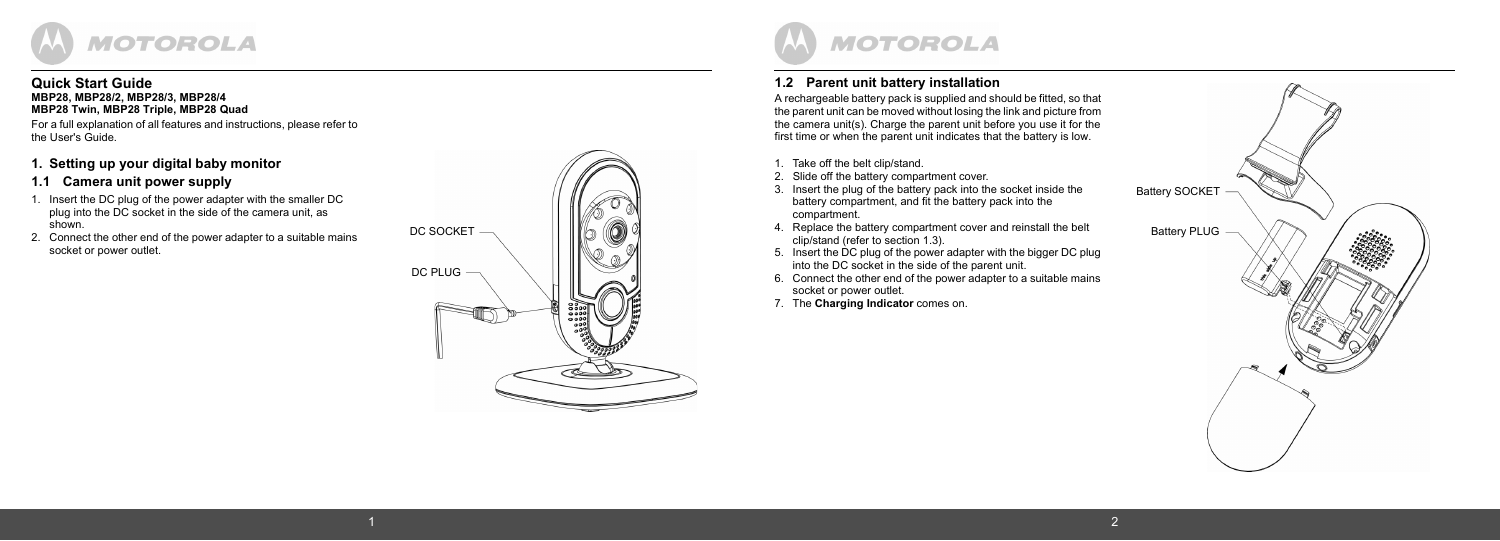

#### **Quick Start Guide MBP28, MBP28/2, MBP28/3, MBP28/4 MBP28 Twin, MBP28 Triple, MBP28 Quad**

For a full explanation of all features and instructions, please refer to the User's Guide.

#### **1. Setting up your digital baby monitor**

#### **1.1 Camera unit power supply**

- 1. Insert the DC plug of the power adapter with the smaller DC plug into the DC socket in the side of the camera unit, as  $shown$
- 2. Connect the other end of the power adapter to a suitable mains socket or power outlet.





### **1.2 Parent unit battery installation**

A rechargeable battery pack is supplied and should be fitted, so that the parent unit can be moved without losing the link and picture from the camera unit(s). Charge the parent unit before you use it for the first time or when the parent unit indicates that the battery is low.

- 1. Take off the belt clip/stand.
- 2. Slide off the battery compartment cover.
- 3. Insert the plug of the battery pack into the socket inside the battery compartment, and fit the battery pack into the compartment.
- 4. Replace the battery compartment cover and reinstall the belt clip/stand (refer to section [1.3](#page-1-0)).
- 5. Insert the DC plug of the power adapter with the bigger DC plug into the DC socket in the side of the parent unit.
- 6. Connect the other end of the power adapter to a suitable mains socket or power outlet.
- 7. The **Charging Indicator** comes on.

1  $\sim$  2